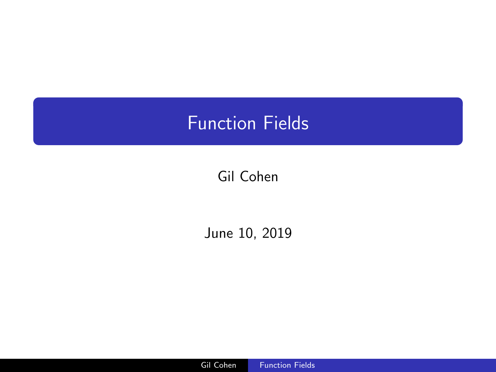# <span id="page-0-0"></span>Function Fields

# Gil Cohen

June 10, 2019

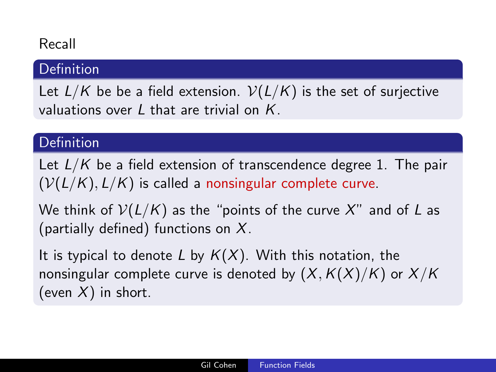# Recall

# **Definition**

Let  $L/K$  be be a field extension.  $V(L/K)$  is the set of surjective valuations over  $L$  that are trivial on  $K$ .

#### Definition

Let  $L/K$  be a field extension of transcendence degree 1. The pair  $(V(L/K), L/K)$  is called a nonsingular complete curve.

We think of  $V(L/K)$  as the "points of the curve X" and of L as (partially defined) functions on  $X$ .

It is typical to denote L by  $K(X)$ . With this notation, the nonsingular complete curve is denoted by  $(X, K(X)/K)$  or  $X/K$ (even  $X$ ) in short.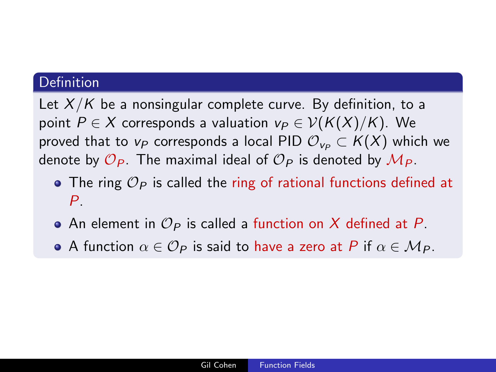Let  $X/K$  be a nonsingular complete curve. By definition, to a point  $P \in X$  corresponds a valuation  $v_P \in V(K(X)/K)$ . We proved that to  $v_P$  corresponds a local PID  $\mathcal{O}_{v_P} \subset K(X)$  which we denote by  $\mathcal{O}_P$ . The maximal ideal of  $\mathcal{O}_P$  is denoted by  $\mathcal{M}_P$ .

- The ring  $\mathcal{O}_P$  is called the ring of rational functions defined at  $P_{\perp}$
- An element in  $\mathcal{O}_P$  is called a function on X defined at P.
- A function  $\alpha \in \mathcal{O}_P$  is said to have a zero at P if  $\alpha \in \mathcal{M}_P$ .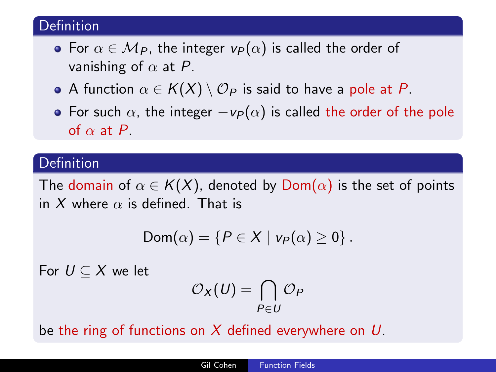- For  $\alpha \in M_P$ , the integer  $v_P(\alpha)$  is called the order of vanishing of  $\alpha$  at P.
- A function  $\alpha \in K(X) \setminus \mathcal{O}_P$  is said to have a pole at P.
- For such  $\alpha$ , the integer  $-v_P(\alpha)$  is called the order of the pole of  $\alpha$  at P.

#### Definition

The domain of  $\alpha \in K(X)$ , denoted by  $Dom(\alpha)$  is the set of points in X where  $\alpha$  is defined. That is

$$
Dom(\alpha) = \{P \in X \mid v_P(\alpha) \geq 0\}.
$$

For  $U \subset X$  we let

$$
\mathcal{O}_X(U)=\bigcap_{P\in U}\mathcal{O}_P
$$

be the ring of functions on X defined everywhere on  $U$ .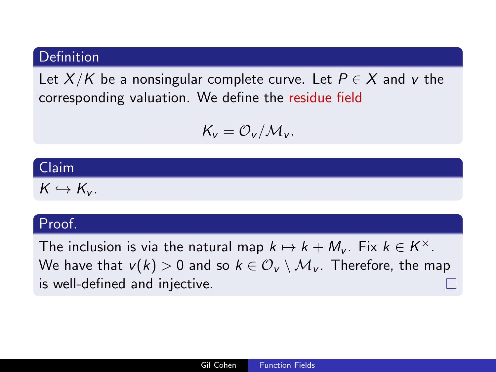Let  $X/K$  be a nonsingular complete curve. Let  $P \in X$  and v the corresponding valuation. We define the residue field

$$
\mathcal{K}_v = \mathcal{O}_v/\mathcal{M}_v.
$$

#### Claim

 $K \hookrightarrow K_{\nu}$ .

#### Proof.

The inclusion is via the natural map  $k \mapsto k + M_v$ . Fix  $k \in K^{\times}$ . We have that  $v(k) > 0$  and so  $k \in \mathcal{O}_V \setminus \mathcal{M}_V$ . Therefore, the map is well-defined and injective.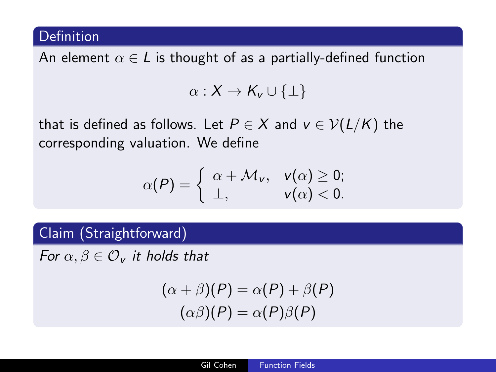An element  $\alpha \in L$  is thought of as a partially-defined function

$$
\alpha:X\to K_v\cup\{\perp\}
$$

that is defined as follows. Let  $P \in X$  and  $v \in V(L/K)$  the corresponding valuation. We define

$$
\alpha(P) = \left\{ \begin{array}{ll} \alpha + \mathcal{M}_v, & v(\alpha) \geq 0; \\ \perp, & v(\alpha) < 0. \end{array} \right.
$$

# Claim (Straightforward)

For  $\alpha, \beta \in \mathcal{O}_v$  it holds that

$$
(\alpha + \beta)(P) = \alpha(P) + \beta(P)
$$

$$
(\alpha\beta)(P) = \alpha(P)\beta(P)
$$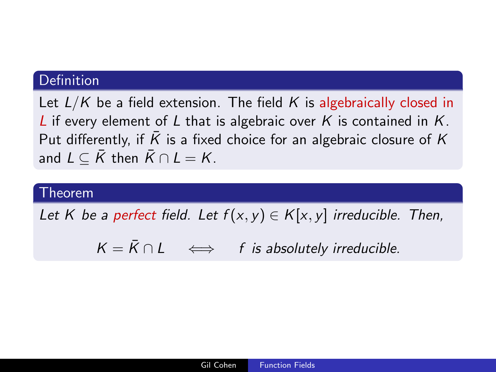Let  $L/K$  be a field extension. The field K is algebraically closed in L if every element of L that is algebraic over K is contained in  $K$ . Put differently, if  $\overline{K}$  is a fixed choice for an algebraic closure of  $K$ and  $L \subseteq \overline{K}$  then  $\overline{K} \cap L = K$ .

#### Theorem

Let K be a perfect field. Let  $f(x, y) \in K[x, y]$  irreducible. Then,

 $K = \overline{K} \cap L$   $\iff$  f is absolutely irreducible.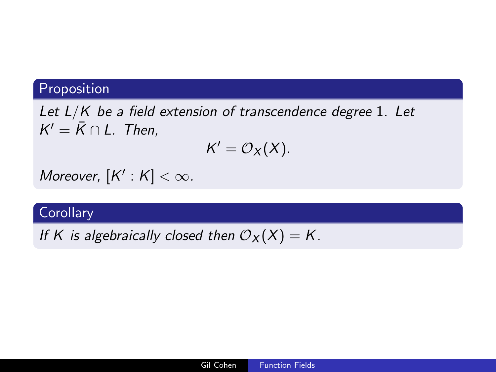# Proposition

Let  $L/K$  be a field extension of transcendence degree 1. Let  $K' = \overline{K} \cap L$ . Then,

$$
K'=\mathcal{O}_X(X).
$$

Moreover,  $[K':K] < \infty$ .

# **Corollary**

If K is algebraically closed then  $\mathcal{O}_X(X) = K$ .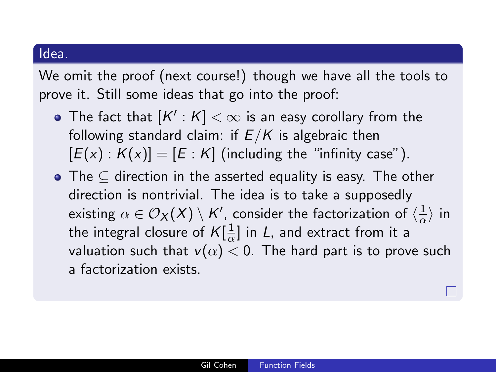#### Idea.

We omit the proof (next course!) though we have all the tools to prove it. Still some ideas that go into the proof:

- The fact that  $[K':\overline{\mathcal{K}}]<\infty$  is an easy corollary from the following standard claim: if  $E/K$  is algebraic then  $[E(x): K(x)] = [E: K]$  (including the "infinity case").
- The  $\subset$  direction in the asserted equality is easy. The other direction is nontrivial. The idea is to take a supposedly existing  $\alpha\in\mathcal{O}_\mathsf{X}(\mathsf{X})\setminus \mathsf{K}'$ , consider the factorization of  $\langle \frac{1}{\alpha}\rangle$  $\frac{1}{\alpha}$  in the integral closure of  $K[\frac{1}{2}]$  $\frac{1}{\alpha}$ ] in L, and extract from it a valuation such that  $v(\alpha) < 0$ . The hard part is to prove such a factorization exists.